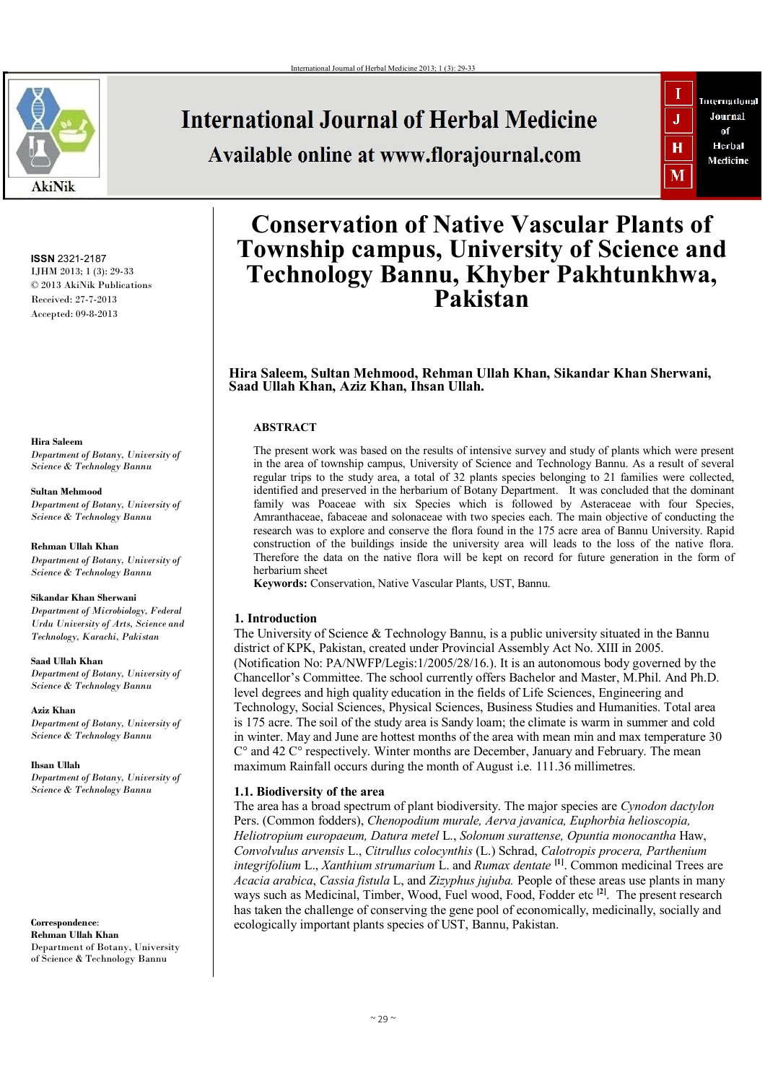

# **International Journal of Herbal Medicine**

Available online at www.florajournal.com



**ISSN** 2321-2187 IJHM 2013; 1 (3): 29-33 © 2013 AkiNik Publications Received: 27-7-2013 Accepted: 09-8-2013

**Hira Saleem** *Department of Botany, University of Science & Technology Bannu*

**Sultan Mehmood** *Department of Botany, University of Science & Technology Bannu*

**Rehman Ullah Khan** *Department of Botany, University of Science & Technology Bannu*

#### **Sikandar Khan Sherwani**

*Department of Microbiology, Federal Urdu University of Arts, Science and Technology, Karachi, Pakistan*

**Saad Ullah Khan** *Department of Botany, University of Science & Technology Bannu*

**Aziz Khan** *Department of Botany, University of Science & Technology Bannu*

**Ihsan Ullah** *Department of Botany, University of Science & Technology Bannu*

**Correspondence**: **Rehman Ullah Khan** Department of Botany, University of Science & Technology Bannu

# **Conservation of Native Vascular Plants of Township campus, University of Science and Technology Bannu, Khyber Pakhtunkhwa, Pakistan**

**Hira Saleem, Sultan Mehmood, Rehman Ullah Khan, Sikandar Khan Sherwani, Saad Ullah Khan, Aziz Khan, Ihsan Ullah.** 

# **ABSTRACT**

The present work was based on the results of intensive survey and study of plants which were present in the area of township campus, University of Science and Technology Bannu. As a result of several regular trips to the study area, a total of 32 plants species belonging to 21 families were collected, identified and preserved in the herbarium of Botany Department. It was concluded that the dominant family was Poaceae with six Species which is followed by Asteraceae with four Species, Amranthaceae, fabaceae and solonaceae with two species each. The main objective of conducting the research was to explore and conserve the flora found in the 175 acre area of Bannu University. Rapid construction of the buildings inside the university area will leads to the loss of the native flora. Therefore the data on the native flora will be kept on record for future generation in the form of herbarium sheet

**Keywords:** Conservation, Native Vascular Plants, UST, Bannu.

## **1. Introduction**

The University of Science & Technology Bannu, is a public university situated in the Bannu district of KPK, Pakistan, created under Provincial Assembly Act No. XIII in 2005. (Notification No: PA/NWFP/Legis:1/2005/28/16.). It is an autonomous body governed by the Chancellor's Committee. The school currently offers Bachelor and Master, M.Phil. And Ph.D. level degrees and high quality education in the fields of Life Sciences, Engineering and Technology, Social Sciences, Physical Sciences, Business Studies and Humanities. Total area is 175 acre. The soil of the study area is Sandy loam; the climate is warm in summer and cold in winter. May and June are hottest months of the area with mean min and max temperature 30 C° and 42 C° respectively. Winter months are December, January and February. The mean maximum Rainfall occurs during the month of August i.e. 111.36 millimetres.

## **1.1. Biodiversity of the area**

The area has a broad spectrum of plant biodiversity. The major species are *Cynodon dactylon*  Pers. (Common fodders), *Chenopodium murale, Aerva javanica, Euphorbia helioscopia, Heliotropium europaeum, Datura metel* L., *Solonum surattense, Opuntia monocantha* Haw, *Convolvulus arvensis* L., *Citrullus colocynthis* (L.) Schrad, *Calotropis procera, Parthenium integrifolium* L., *Xanthium strumarium* L. and *Rumax dentate* **[1]**. Common medicinal Trees are *Acacia arabica*, *Cassia fistula* L, and *Zizyphus jujuba.* People of these areas use plants in many ways such as Medicinal, Timber, Wood, Fuel wood, Food, Fodder etc **[2]**. The present research has taken the challenge of conserving the gene pool of economically, medicinally, socially and ecologically important plants species of UST, Bannu, Pakistan.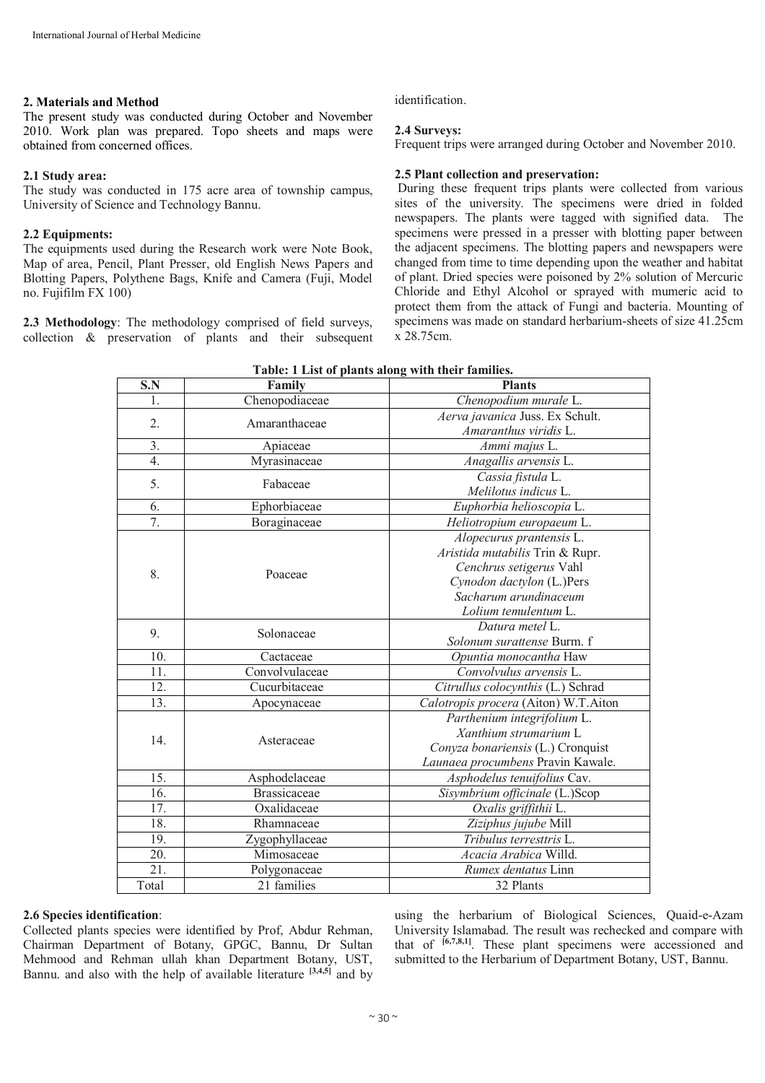#### **2. Materials and Method**

The present study was conducted during October and November 2010. Work plan was prepared. Topo sheets and maps were obtained from concerned offices.

#### **2.1 Study area:**

The study was conducted in 175 acre area of township campus, University of Science and Technology Bannu.

#### **2.2 Equipments:**

The equipments used during the Research work were Note Book, Map of area, Pencil, Plant Presser, old English News Papers and Blotting Papers, Polythene Bags, Knife and Camera (Fuji, Model no. Fujifilm FX 100)

**2.3 Methodology**: The methodology comprised of field surveys, collection & preservation of plants and their subsequent identification.

#### **2.4 Surveys:**

Frequent trips were arranged during October and November 2010.

#### **2.5 Plant collection and preservation:**

During these frequent trips plants were collected from various sites of the university. The specimens were dried in folded newspapers. The plants were tagged with signified data. The specimens were pressed in a presser with blotting paper between the adjacent specimens. The blotting papers and newspapers were changed from time to time depending upon the weather and habitat of plant. Dried species were poisoned by 2% solution of Mercuric Chloride and Ethyl Alcohol or sprayed with mumeric acid to protect them from the attack of Fungi and bacteria. Mounting of specimens was made on standard herbarium-sheets of size 41.25cm x 28.75cm.

| S.N            | Family              | <b>Plants</b>                        |  |
|----------------|---------------------|--------------------------------------|--|
| $\mathbf{1}$ . | Chenopodiaceae      | Chenopodium murale L.                |  |
| 2.             |                     | Aerva javanica Juss. Ex Schult.      |  |
|                | Amaranthaceae       | Amaranthus viridis L.                |  |
| 3.             | Apiaceae            | Ammi majus L.                        |  |
| 4.             | Myrasinaceae        | Anagallis arvensis L.                |  |
| 5.             | Fabaceae            | Cassia fistula L.                    |  |
|                |                     | Melilotus indicus L.                 |  |
| 6.             | Ephorbiaceae        | Euphorbia helioscopia L.             |  |
| 7.             | Boraginaceae        | Heliotropium europaeum L.            |  |
|                | Poaceae             | Alopecurus prantensis L.             |  |
|                |                     | Aristida mutabilis Trin & Rupr.      |  |
| 8.             |                     | Cenchrus setigerus Vahl              |  |
|                |                     | Cynodon dactylon (L.)Pers            |  |
|                |                     | Sacharum arundinaceum                |  |
|                |                     | Lolium temulentum L.                 |  |
| 9.             | Solonaceae          | Datura metel L.                      |  |
|                |                     | Solonum surattense Burm. f           |  |
| 10.            | Cactaceae           | Opuntia monocantha Haw               |  |
| 11.            | Convolvulaceae      | Convolvulus arvensis L.              |  |
| 12.            | Cucurbitaceae       | Citrullus colocynthis (L.) Schrad    |  |
| 13.            | Apocynaceae         | Calotropis procera (Aiton) W.T.Aiton |  |
|                |                     | Parthenium integrifolium L.          |  |
| 14.            | Asteraceae          | Xanthium strumarium L                |  |
|                |                     | Conyza bonariensis (L.) Cronquist    |  |
|                |                     | Launaea procumbens Pravin Kawale.    |  |
| 15.            | Asphodelaceae       | Asphodelus tenuifolius Cav.          |  |
| 16.            | <b>Brassicaceae</b> | Sisymbrium officinale (L.)Scop       |  |
| 17.            | Oxalidaceae         | Oxalis griffithii L.                 |  |
| 18.            | Rhamnaceae          | Ziziphus jujube Mill                 |  |
| 19.            | Zygophyllaceae      | Tribulus terresttris L.              |  |
| 20.            | Mimosaceae          | Acacia Arabica Willd.                |  |
| 21.            | Polygonaceae        | Rumex dentatus Linn                  |  |
| Total          | 21 families         | 32 Plants                            |  |

| Table: 1 List of plants along with their families. |  |  |
|----------------------------------------------------|--|--|
|----------------------------------------------------|--|--|

#### **2.6 Species identification**:

Collected plants species were identified by Prof, Abdur Rehman, Chairman Department of Botany, GPGC, Bannu, Dr Sultan Mehmood and Rehman ullah khan Department Botany, UST, Bannu, and also with the help of available literature <sup>[3,4,5]</sup> and by using the herbarium of Biological Sciences, Quaid-e-Azam University Islamabad. The result was rechecked and compare with that of **[6,7,8,1]**. These plant specimens were accessioned and submitted to the Herbarium of Department Botany, UST, Bannu.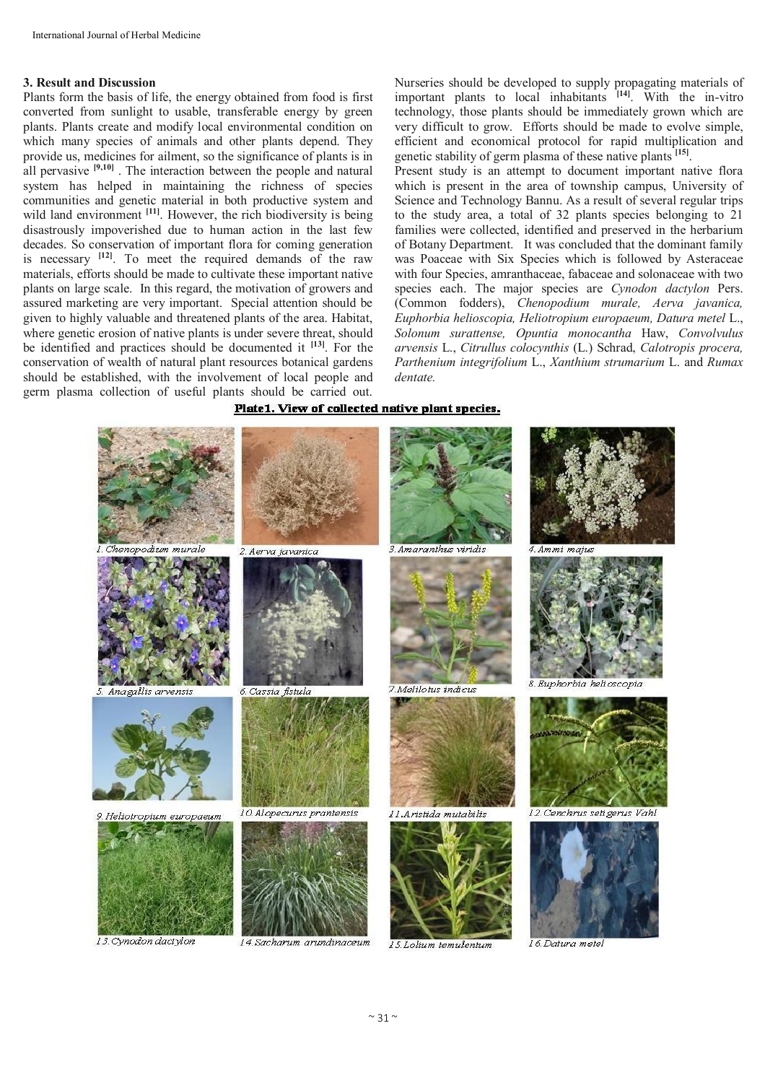#### **3. Result and Discussion**

Plants form the basis of life, the energy obtained from food is first converted from sunlight to usable, transferable energy by green plants. Plants create and modify local environmental condition on which many species of animals and other plants depend. They provide us, medicines for ailment, so the significance of plants is in all pervasive **[9,10]** . The interaction between the people and natural system has helped in maintaining the richness of species communities and genetic material in both productive system and wild land environment <sup>[11]</sup>. However, the rich biodiversity is being disastrously impoverished due to human action in the last few decades. So conservation of important flora for coming generation is necessary **[12]** . To meet the required demands of the raw materials, efforts should be made to cultivate these important native plants on large scale. In this regard, the motivation of growers and assured marketing are very important. Special attention should be given to highly valuable and threatened plants of the area. Habitat, where genetic erosion of native plants is under severe threat, should be identified and practices should be documented it **[13]**. For the conservation of wealth of natural plant resources botanical gardens should be established, with the involvement of local people and germ plasma collection of useful plants should be carried out.

Nurseries should be developed to supply propagating materials of important plants to local inhabitants <sup>[14]</sup>. With the in-vitro technology, those plants should be immediately grown which are very difficult to grow. Efforts should be made to evolve simple, efficient and economical protocol for rapid multiplication and genetic stability of germ plasma of these native plants **[15]** .

Present study is an attempt to document important native flora which is present in the area of township campus, University of Science and Technology Bannu. As a result of several regular trips to the study area, a total of 32 plants species belonging to 21 families were collected, identified and preserved in the herbarium of Botany Department. It was concluded that the dominant family was Poaceae with Six Species which is followed by Asteraceae with four Species, amranthaceae, fabaceae and solonaceae with two species each. The major species are *Cynodon dactylon* Pers. (Common fodders), *Chenopodium murale, Aerva javanica, Euphorbia helioscopia, Heliotropium europaeum, Datura metel* L., *Solonum surattense, Opuntia monocantha* Haw, *Convolvulus arvensis* L., *Citrullus colocynthis* (L.) Schrad, *Calotropis procera, Parthenium integrifolium* L., *Xanthium strumarium* L. and *Rumax dentate.*

#### Plate1. View of collected native plant species.



13. Cynodon dactylon

14. Sacharum arundinaceum

16. Datura metel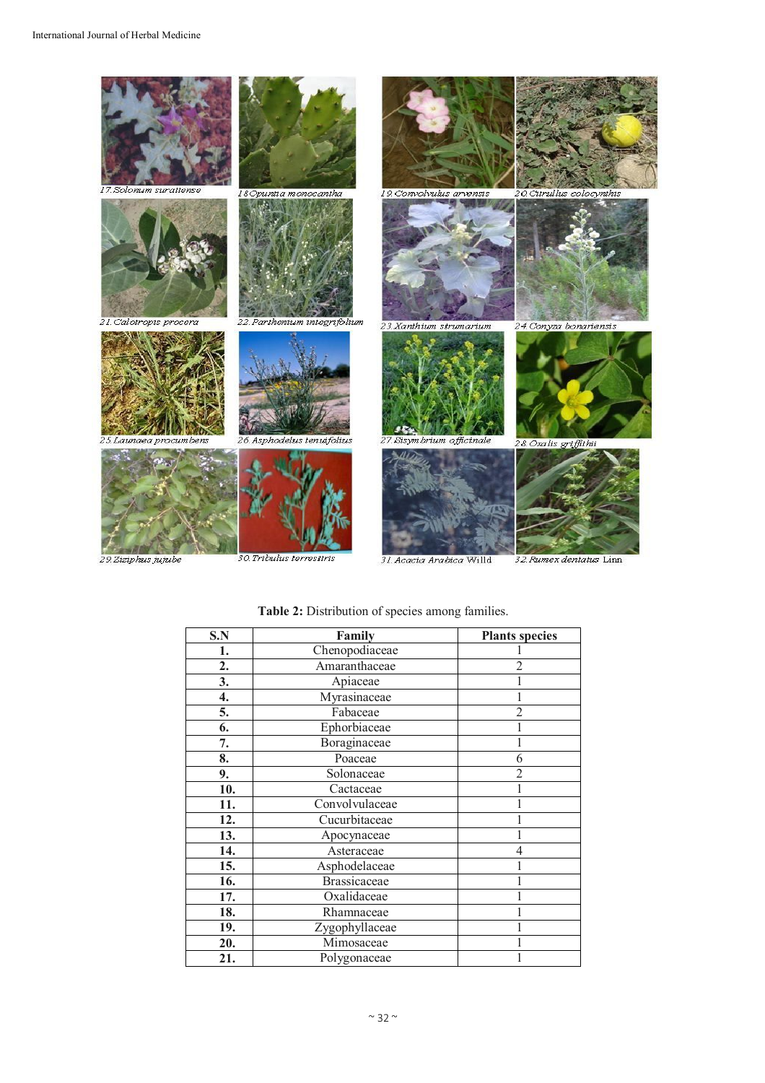

| S.N | Family              | <b>Plants species</b> |
|-----|---------------------|-----------------------|
| 1.  | Chenopodiaceae      |                       |
| 2.  | Amaranthaceae       |                       |
| 3.  | Apiaceae            |                       |
| 4.  | Myrasinaceae        |                       |
| 5.  | Fabaceae            |                       |
| 6.  | Ephorbiaceae        |                       |
| 7.  | Boraginaceae        |                       |
| 8.  | Poaceae             | 6                     |
| 9.  | Solonaceae          |                       |
| 10. | Cactaceae           |                       |
| 11. | Convolvulaceae      |                       |
| 12. | Cucurbitaceae       |                       |
| 13. | Apocynaceae         |                       |
| 14. | Asteraceae          |                       |
| 15. | Asphodelaceae       |                       |
| 16. | <b>Brassicaceae</b> |                       |
| 17. | Oxalidaceae         |                       |
| 18. | Rhamnaceae          |                       |
| 19. | Zygophyllaceae      |                       |
| 20. | Mimosaceae          |                       |
| 21. | Polygonaceae        |                       |

# **Table 2:** Distribution of species among families.